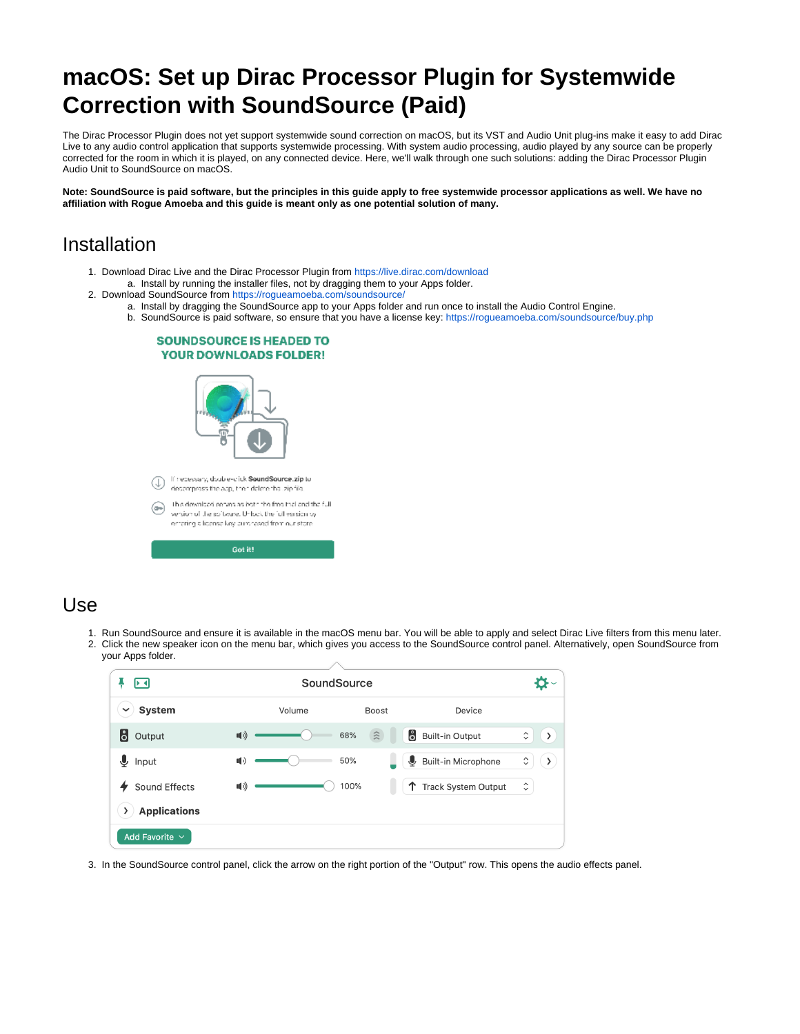# **macOS: Set up Dirac Processor Plugin for Systemwide Correction with SoundSource (Paid)**

The Dirac Processor Plugin does not yet support systemwide sound correction on macOS, but its VST and Audio Unit plug-ins make it easy to add Dirac Live to any audio control application that supports systemwide processing. With system audio processing, audio played by any source can be properly corrected for the room in which it is played, on any connected device. Here, we'll walk through one such solutions: adding the Dirac Processor Plugin Audio Unit to SoundSource on macOS.

**Note: SoundSource is paid software, but the principles in this guide apply to free systemwide processor applications as well. We have no affiliation with Rogue Amoeba and this guide is meant only as one potential solution of many.**

### Installation

- 1. Download Dirac Live and the Dirac Processor Plugin from<https://live.dirac.com/download> a. Install by running the installer files, not by dragging them to your Apps folder.
- 2. Download SoundSource from<https://rogueamoeba.com/soundsource/>
	- a. Install by dragging the SoundSource app to your Apps folder and run once to install the Audio Control Engine.
	- b. SoundSource is paid software, so ensure that you have a license key:<https://rogueamoeba.com/soundsource/buy.php>

#### **SOUNDSOURCE IS HEADED TO YOUR DOWNLOADS FOLDER!**



### Use

- 1. Run SoundSource and ensure it is available in the macOS menu bar. You will be able to apply and select Dirac Live filters from this menu later.
- 2. Click the new speaker icon on the menu bar, which gives you access to the SoundSource control panel. Alternatively, open SoundSource from your Apps folder.

| D⊣                    | SoundSource    |                               |                                  |                                                      |  |
|-----------------------|----------------|-------------------------------|----------------------------------|------------------------------------------------------|--|
| System<br>$\check{ }$ | Volume         | <b>Boost</b>                  | Device                           |                                                      |  |
| <b>8</b> Output       | 11)            | 68%<br>$\widehat{\mathbb{Z}}$ | å<br><b>Built-in Output</b>      | $\hat{\mathbin{\hspace{1pt}\circ}}$<br>$\rightarrow$ |  |
| $\mathbf{\Psi}$ Input | $\blacksquare$ | 50%                           | Built-in Microphone<br>↓         | $\hat{\mathcal{C}}$<br>ゝ                             |  |
| Sound Effects         | 11)            | 100%                          | <b>Track System Output</b><br>T. | $\hat{\phantom{a}}$<br>$\checkmark$                  |  |
| <b>Applications</b>   |                |                               |                                  |                                                      |  |
| Add Favorite $\vee$   |                |                               |                                  |                                                      |  |

3. In the SoundSource control panel, click the arrow on the right portion of the "Output" row. This opens the audio effects panel.